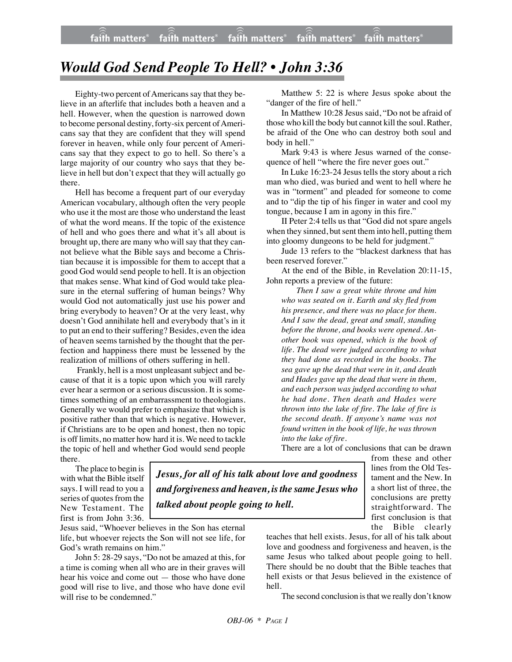positive rather than that which is negative. However,

Matthew 5: 22 is where Jesus spoke about the "danger of the fire of hell." In Matthew 10:28 Jesus said, "Do not be afraid of

those who kill the body but cannot kill the soul. Rather, be afraid of the One who can destroy both soul and body in hell."

Mark 9:43 is where Jesus warned of the consequence of hell "where the fire never goes out."

In Luke 16:23-24 Jesus tells the story about a rich man who died, was buried and went to hell where he was in "torment" and pleaded for someone to come and to "dip the tip of his finger in water and cool my tongue, because I am in agony in this fire."

II Peter 2:4 tells us that "God did not spare angels when they sinned, but sent them into hell, putting them into gloomy dungeons to be held for judgment."

Jude 13 refers to the "blackest darkness that has been reserved forever."

At the end of the Bible, in Revelation 20:11-15, John reports a preview of the future:

*Then I saw a great white throne and him who was seated on it. Earth and sky fled from his presence, and there was no place for them. And I saw the dead, great and small, standing before the throne, and books were opened. Another book was opened, which is the book of life. The dead were judged according to what they had done as recorded in the books. The sea gave up the dead that were in it, and death and Hades gave up the dead that were in them, and each person was judged according to what he had done. Then death and Hades were thrown into the lake of fire. The lake of fire is the second death. If anyone's name was not found written in the book of life, he was thrown into the lake of fire.*

There are a lot of conclusions that can be drawn

The place to begin is with what the Bible itself says. I will read to you a series of quotes from the New Testament. The first is from John 3:36.

*Jesus, for all of his talk about love and goodness and forgiveness and heaven, is the same Jesus who talked about people going to hell.*

Jesus said, "Whoever believes in the Son has eternal life, but whoever rejects the Son will not see life, for God's wrath remains on him."

John 5: 28-29 says, "Do not be amazed at this, for a time is coming when all who are in their graves will hear his voice and come out — those who have done good will rise to live, and those who have done evil will rise to be condemned."

from these and other lines from the Old Testament and the New. In a short list of three, the conclusions are pretty straightforward. The first conclusion is that the Bible clearly

teaches that hell exists. Jesus, for all of his talk about love and goodness and forgiveness and heaven, is the same Jesus who talked about people going to hell. There should be no doubt that the Bible teaches that hell exists or that Jesus believed in the existence of hell.

The second conclusion is that we really don't know

## *Would God Send People To Hell? • John 3:36*

Eighty-two percent of Americans say that they believe in an afterlife that includes both a heaven and a hell. However, when the question is narrowed down to become personal destiny, forty-six percent of Ameri-

cans say that they are confident that they will spend forever in heaven, while only four percent of Americans say that they expect to go to hell. So there's a large majority of our country who says that they believe in hell but don't expect that they will actually go there. Hell has become a frequent part of our everyday American vocabulary, although often the very people who use it the most are those who understand the least of what the word means. If the topic of the existence of hell and who goes there and what it's all about is brought up, there are many who will say that they cannot believe what the Bible says and become a Christian because it is impossible for them to accept that a good God would send people to hell. It is an objection that makes sense. What kind of God would take pleasure in the eternal suffering of human beings? Why would God not automatically just use his power and bring everybody to heaven? Or at the very least, why doesn't God annihilate hell and everybody that's in it

to put an end to their suffering? Besides, even the idea of heaven seems tarnished by the thought that the perfection and happiness there must be lessened by the realization of millions of others suffering in hell. Frankly, hell is a most unpleasant subject and because of that it is a topic upon which you will rarely ever hear a sermon or a serious discussion. It is sometimes something of an embarrassment to theologians. Generally we would prefer to emphasize that which is

if Christians are to be open and honest, then no topic is off limits, no matter how hard it is. We need to tackle the topic of hell and whether God would send people there.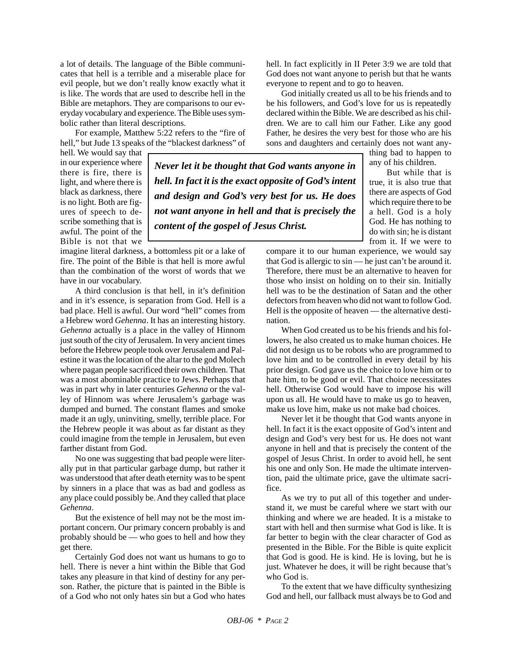a lot of details. The language of the Bible communicates that hell is a terrible and a miserable place for evil people, but we don't really know exactly what it is like. The words that are used to describe hell in the Bible are metaphors. They are comparisons to our everyday vocabulary and experience. The Bible uses symbolic rather than literal descriptions.

For example, Matthew 5:22 refers to the "fire of hell," but Jude 13 speaks of the "blackest darkness" of

hell. We would say that in our experience where there is fire, there is light, and where there is black as darkness, there is no light. Both are figures of speech to describe something that is awful. The point of the Bible is not that we

imagine literal darkness, a bottomless pit or a lake of fire. The point of the Bible is that hell is more awful than the combination of the worst of words that we have in our vocabulary.

A third conclusion is that hell, in it's definition and in it's essence, is separation from God. Hell is a bad place. Hell is awful. Our word "hell" comes from a Hebrew word *Gehenna*. It has an interesting history. *Gehenna* actually is a place in the valley of Hinnom just south of the city of Jerusalem. In very ancient times before the Hebrew people took over Jerusalem and Palestine it was the location of the altar to the god Molech where pagan people sacrificed their own children. That was a most abominable practice to Jews. Perhaps that was in part why in later centuries *Gehenna* or the valley of Hinnom was where Jerusalem's garbage was dumped and burned. The constant flames and smoke made it an ugly, uninviting, smelly, terrible place. For the Hebrew people it was about as far distant as they could imagine from the temple in Jerusalem, but even farther distant from God.

No one was suggesting that bad people were literally put in that particular garbage dump, but rather it was understood that after death eternity was to be spent by sinners in a place that was as bad and godless as any place could possibly be. And they called that place *Gehenna*.

But the existence of hell may not be the most important concern. Our primary concern probably is and probably should be — who goes to hell and how they get there.

Certainly God does not want us humans to go to hell. There is never a hint within the Bible that God takes any pleasure in that kind of destiny for any person. Rather, the picture that is painted in the Bible is of a God who not only hates sin but a God who hates hell. In fact explicitly in II Peter 3:9 we are told that God does not want anyone to perish but that he wants everyone to repent and to go to heaven.

God initially created us all to be his friends and to be his followers, and God's love for us is repeatedly declared within the Bible. We are described as his children. We are to call him our Father. Like any good Father, he desires the very best for those who are his sons and daughters and certainly does not want any-

thing bad to happen to any of his children.

But while that is true, it is also true that there are aspects of God which require there to be a hell. God is a holy God. He has nothing to do with sin; he is distant from it. If we were to

compare it to our human experience, we would say that God is allergic to sin — he just can't be around it. Therefore, there must be an alternative to heaven for those who insist on holding on to their sin. Initially hell was to be the destination of Satan and the other defectors from heaven who did not want to follow God. Hell is the opposite of heaven — the alternative destination.

When God created us to be his friends and his followers, he also created us to make human choices. He did not design us to be robots who are programmed to love him and to be controlled in every detail by his prior design. God gave us the choice to love him or to hate him, to be good or evil. That choice necessitates hell. Otherwise God would have to impose his will upon us all. He would have to make us go to heaven, make us love him, make us not make bad choices.

Never let it be thought that God wants anyone in hell. In fact it is the exact opposite of God's intent and design and God's very best for us. He does not want anyone in hell and that is precisely the content of the gospel of Jesus Christ. In order to avoid hell, he sent his one and only Son. He made the ultimate intervention, paid the ultimate price, gave the ultimate sacrifice.

As we try to put all of this together and understand it, we must be careful where we start with our thinking and where we are headed. It is a mistake to start with hell and then surmise what God is like. It is far better to begin with the clear character of God as presented in the Bible. For the Bible is quite explicit that God is good. He is kind. He is loving, but he is just. Whatever he does, it will be right because that's who God is.

To the extent that we have difficulty synthesizing God and hell, our fallback must always be to God and

*Never let it be thought that God wants anyone in hell. In fact it is the exact opposite of God's intent and design and God's very best for us. He does not want anyone in hell and that is precisely the*

*content of the gospel of Jesus Christ.*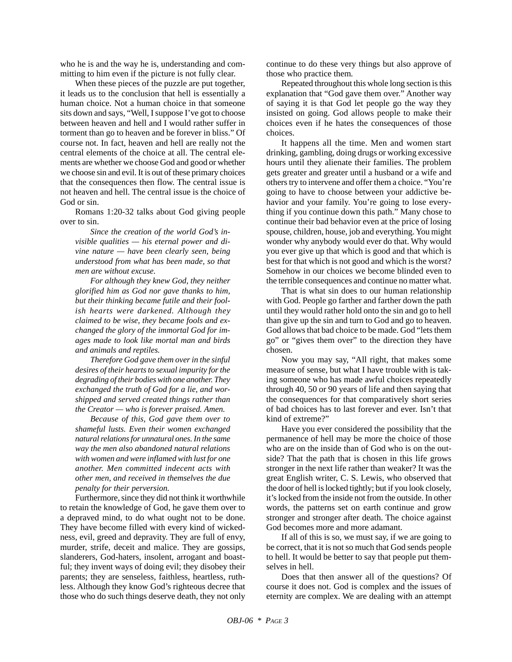who he is and the way he is, understanding and committing to him even if the picture is not fully clear.

When these pieces of the puzzle are put together, it leads us to the conclusion that hell is essentially a human choice. Not a human choice in that someone sits down and says, "Well, I suppose I've got to choose between heaven and hell and I would rather suffer in torment than go to heaven and be forever in bliss." Of course not. In fact, heaven and hell are really not the central elements of the choice at all. The central elements are whether we choose God and good or whether we choose sin and evil. It is out of these primary choices that the consequences then flow. The central issue is not heaven and hell. The central issue is the choice of God or sin.

Romans 1:20-32 talks about God giving people over to sin.

*Since the creation of the world God's invisible qualities — his eternal power and divine nature — have been clearly seen, being understood from what has been made, so that men are without excuse.*

*For although they knew God, they neither glorified him as God nor gave thanks to him, but their thinking became futile and their foolish hearts were darkened. Although they claimed to be wise, they became fools and exchanged the glory of the immortal God for images made to look like mortal man and birds and animals and reptiles.*

*Therefore God gave them over in the sinful desires of their hearts to sexual impurity for the degrading of their bodies with one another. They exchanged the truth of God for a lie, and worshipped and served created things rather than the Creator — who is forever praised. Amen.*

*Because of this, God gave them over to shameful lusts. Even their women exchanged natural relations for unnatural ones. In the same way the men also abandoned natural relations with women and were inflamed with lust for one another. Men committed indecent acts with other men, and received in themselves the due penalty for their perversion.*

Furthermore, since they did not think it worthwhile to retain the knowledge of God, he gave them over to a depraved mind, to do what ought not to be done. They have become filled with every kind of wickedness, evil, greed and depravity. They are full of envy, murder, strife, deceit and malice. They are gossips, slanderers, God-haters, insolent, arrogant and boastful; they invent ways of doing evil; they disobey their parents; they are senseless, faithless, heartless, ruthless. Although they know God's righteous decree that those who do such things deserve death, they not only continue to do these very things but also approve of those who practice them*.*

Repeated throughout this whole long section is this explanation that "God gave them over." Another way of saying it is that God let people go the way they insisted on going. God allows people to make their choices even if he hates the consequences of those choices.

It happens all the time. Men and women start drinking, gambling, doing drugs or working excessive hours until they alienate their families. The problem gets greater and greater until a husband or a wife and others try to intervene and offer them a choice. "You're going to have to choose between your addictive behavior and your family. You're going to lose everything if you continue down this path." Many chose to continue their bad behavior even at the price of losing spouse, children, house, job and everything. You might wonder why anybody would ever do that. Why would you ever give up that which is good and that which is best for that which is not good and which is the worst? Somehow in our choices we become blinded even to the terrible consequences and continue no matter what.

That is what sin does to our human relationship with God. People go farther and farther down the path until they would rather hold onto the sin and go to hell than give up the sin and turn to God and go to heaven. God allows that bad choice to be made. God "lets them go" or "gives them over" to the direction they have chosen.

Now you may say, "All right, that makes some measure of sense, but what I have trouble with is taking someone who has made awful choices repeatedly through 40, 50 or 90 years of life and then saying that the consequences for that comparatively short series of bad choices has to last forever and ever. Isn't that kind of extreme?"

Have you ever considered the possibility that the permanence of hell may be more the choice of those who are on the inside than of God who is on the outside? That the path that is chosen in this life grows stronger in the next life rather than weaker? It was the great English writer, C. S. Lewis, who observed that the door of hell is locked tightly; but if you look closely, it's locked from the inside not from the outside. In other words, the patterns set on earth continue and grow stronger and stronger after death. The choice against God becomes more and more adamant.

If all of this is so, we must say, if we are going to be correct, that it is not so much that God sends people to hell. It would be better to say that people put themselves in hell.

Does that then answer all of the questions? Of course it does not. God is complex and the issues of eternity are complex. We are dealing with an attempt